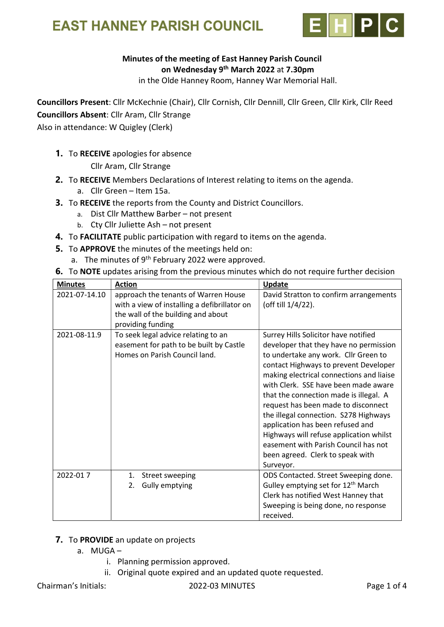

### Minutes of the meeting of East Hanney Parish Council on Wednesday 9th March 2022 at 7.30pm

in the Olde Hanney Room, Hanney War Memorial Hall.

Councillors Present: Cllr McKechnie (Chair), Cllr Cornish, Cllr Dennill, Cllr Green, Cllr Kirk, Cllr Reed Councillors Absent: Cllr Aram, Cllr Strange

Also in attendance: W Quigley (Clerk)

1. To RECEIVE apologies for absence

Cllr Aram, Cllr Strange

- 2. To RECEIVE Members Declarations of Interest relating to items on the agenda.
	- a. Cllr Green Item 15a.
- 3. To RECEIVE the reports from the County and District Councillors.
	- a. Dist Cllr Matthew Barber not present
	- b. Cty Cllr Juliette Ash not present
- 4. To FACILITATE public participation with regard to items on the agenda.
- 5. To APPROVE the minutes of the meetings held on:
	- a. The minutes of  $9<sup>th</sup>$  February 2022 were approved.
- 6. To NOTE updates arising from the previous minutes which do not require further decision

| <b>Minutes</b> | <b>Action</b>                                                                                                                                   | <b>Update</b>                                                                                                                                                                                                                                                                                                                                                                                                                                                                                                                                         |
|----------------|-------------------------------------------------------------------------------------------------------------------------------------------------|-------------------------------------------------------------------------------------------------------------------------------------------------------------------------------------------------------------------------------------------------------------------------------------------------------------------------------------------------------------------------------------------------------------------------------------------------------------------------------------------------------------------------------------------------------|
| 2021-07-14.10  | approach the tenants of Warren House<br>with a view of installing a defibrillator on<br>the wall of the building and about<br>providing funding | David Stratton to confirm arrangements<br>(off till 1/4/22).                                                                                                                                                                                                                                                                                                                                                                                                                                                                                          |
| 2021-08-11.9   | To seek legal advice relating to an<br>easement for path to be built by Castle<br>Homes on Parish Council land.                                 | Surrey Hills Solicitor have notified<br>developer that they have no permission<br>to undertake any work. Cllr Green to<br>contact Highways to prevent Developer<br>making electrical connections and liaise<br>with Clerk. SSE have been made aware<br>that the connection made is illegal. A<br>request has been made to disconnect<br>the illegal connection. S278 Highways<br>application has been refused and<br>Highways will refuse application whilst<br>easement with Parish Council has not<br>been agreed. Clerk to speak with<br>Surveyor. |
| 2022-017       | Street sweeping<br>1.<br>Gully emptying<br>2.                                                                                                   | ODS Contacted. Street Sweeping done.<br>Gulley emptying set for 12 <sup>th</sup> March<br>Clerk has notified West Hanney that<br>Sweeping is being done, no response<br>received.                                                                                                                                                                                                                                                                                                                                                                     |

## 7. To PROVIDE an update on projects

- a. MUGA
	- i. Planning permission approved.
	- ii. Original quote expired and an updated quote requested.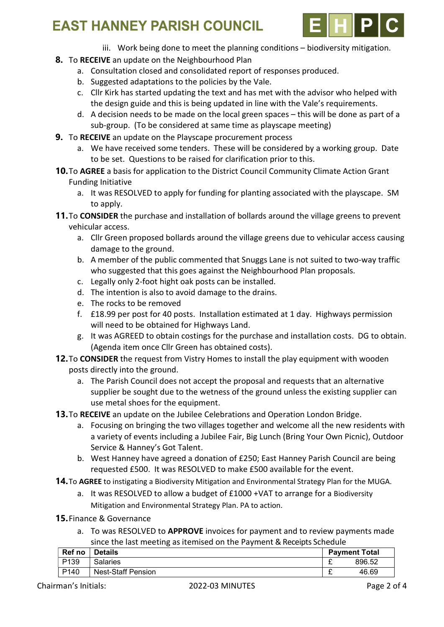

- iii. Work being done to meet the planning conditions biodiversity mitigation.
- 8. To RECEIVE an update on the Neighbourhood Plan
	- a. Consultation closed and consolidated report of responses produced.
	- b. Suggested adaptations to the policies by the Vale.
	- c. Cllr Kirk has started updating the text and has met with the advisor who helped with the design guide and this is being updated in line with the Vale's requirements.
	- d. A decision needs to be made on the local green spaces this will be done as part of a sub-group. (To be considered at same time as playscape meeting)
- 9. To RECEIVE an update on the Playscape procurement process
	- a. We have received some tenders. These will be considered by a working group. Date to be set. Questions to be raised for clarification prior to this.
- **10.** To AGREE a basis for application to the District Council Community Climate Action Grant Funding Initiative
	- a. It was RESOLVED to apply for funding for planting associated with the playscape. SM to apply.
- **11.** To **CONSIDER** the purchase and installation of bollards around the village greens to prevent vehicular access.
	- a. Cllr Green proposed bollards around the village greens due to vehicular access causing damage to the ground.
	- b. A member of the public commented that Snuggs Lane is not suited to two-way traffic who suggested that this goes against the Neighbourhood Plan proposals.
	- c. Legally only 2-foot hight oak posts can be installed.
	- d. The intention is also to avoid damage to the drains.
	- e. The rocks to be removed
	- f. £18.99 per post for 40 posts. Installation estimated at 1 day. Highways permission will need to be obtained for Highways Land.
	- g. It was AGREED to obtain costings for the purchase and installation costs. DG to obtain. (Agenda item once Cllr Green has obtained costs).
- 12. To CONSIDER the request from Vistry Homes to install the play equipment with wooden posts directly into the ground.
	- a. The Parish Council does not accept the proposal and requests that an alternative supplier be sought due to the wetness of the ground unless the existing supplier can use metal shoes for the equipment.
- **13.** To RECEIVE an update on the Jubilee Celebrations and Operation London Bridge.
	- a. Focusing on bringing the two villages together and welcome all the new residents with a variety of events including a Jubilee Fair, Big Lunch (Bring Your Own Picnic), Outdoor Service & Hanney's Got Talent.
	- b. West Hanney have agreed a donation of £250; East Hanney Parish Council are being requested £500. It was RESOLVED to make £500 available for the event.
- **14.** To AGREE to instigating a Biodiversity Mitigation and Environmental Strategy Plan for the MUGA.
	- a. It was RESOLVED to allow a budget of £1000 +VAT to arrange for a Biodiversity Mitigation and Environmental Strategy Plan. PA to action.
- 15.Finance & Governance
	- a. To was RESOLVED to APPROVE invoices for payment and to review payments made since the last meeting as itemised on the Payment & Receipts Schedule

| Ref no           | <b>Details</b>            | <b>Payment Total</b> |        |
|------------------|---------------------------|----------------------|--------|
| P <sub>139</sub> | <b>Salaries</b>           | -                    | 896.52 |
| P <sub>140</sub> | <b>Nest-Staff Pension</b> | -                    | 46.69  |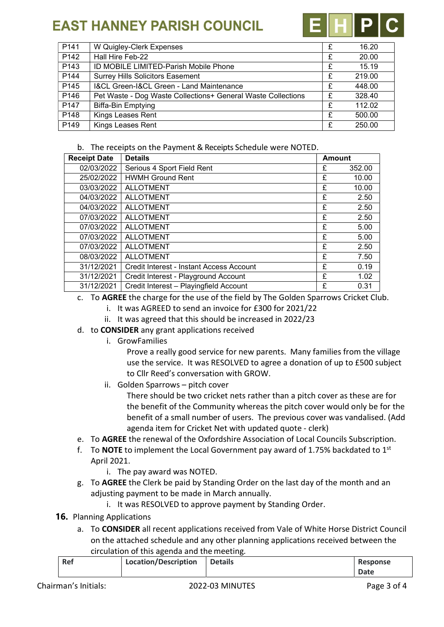

| P <sub>141</sub> | W Quigley-Clerk Expenses                                     | £ | 16.20  |
|------------------|--------------------------------------------------------------|---|--------|
| P <sub>142</sub> | Hall Hire Feb-22                                             | £ | 20.00  |
| P <sub>143</sub> | ID MOBILE LIMITED-Parish Mobile Phone                        | £ | 15.19  |
| P144             | <b>Surrey Hills Solicitors Easement</b>                      | £ | 219.00 |
| P <sub>145</sub> | <b>I&amp;CL Green-I&amp;CL Green - Land Maintenance</b>      |   | 448.00 |
| P <sub>146</sub> | Pet Waste - Dog Waste Collections+ General Waste Collections | £ | 328.40 |
| P147             | <b>Biffa-Bin Emptying</b>                                    | £ | 112.02 |
| P148             | <b>Kings Leases Rent</b>                                     | £ | 500.00 |
| P <sub>149</sub> | <b>Kings Leases Rent</b>                                     | £ | 250.00 |

#### b. The receipts on the Payment & Receipts Schedule were NOTED.

| <b>Receipt Date</b><br><b>Details</b> |                                          | <b>Amount</b> |        |
|---------------------------------------|------------------------------------------|---------------|--------|
| 02/03/2022                            | Serious 4 Sport Field Rent               |               | 352.00 |
| 25/02/2022                            | <b>HWMH Ground Rent</b>                  | £             | 10.00  |
| 03/03/2022                            | <b>ALLOTMENT</b>                         | £             | 10.00  |
| 04/03/2022                            | <b>ALLOTMENT</b>                         | £             | 2.50   |
| 04/03/2022                            | <b>ALLOTMENT</b>                         | £             | 2.50   |
| 07/03/2022                            | <b>ALLOTMENT</b>                         | £             | 2.50   |
| 07/03/2022                            | <b>ALLOTMENT</b>                         | £             | 5.00   |
| 07/03/2022                            | <b>ALLOTMENT</b>                         | £             | 5.00   |
| 07/03/2022                            | <b>ALLOTMENT</b>                         | £             | 2.50   |
| 08/03/2022                            | <b>ALLOTMENT</b>                         | £             | 7.50   |
| 31/12/2021                            | Credit Interest - Instant Access Account | £             | 0.19   |
| 31/12/2021                            | Credit Interest - Playground Account     | £             | 1.02   |
| 31/12/2021                            | Credit Interest - Playingfield Account   | £             | 0.31   |

- c. To AGREE the charge for the use of the field by The Golden Sparrows Cricket Club.
	- i. It was AGREED to send an invoice for £300 for 2021/22
	- ii. It was agreed that this should be increased in 2022/23
- d. to CONSIDER any grant applications received
	- i. GrowFamilies

Prove a really good service for new parents. Many families from the village use the service. It was RESOLVED to agree a donation of up to £500 subject to Cllr Reed's conversation with GROW.

ii. Golden Sparrows – pitch cover

There should be two cricket nets rather than a pitch cover as these are for the benefit of the Community whereas the pitch cover would only be for the benefit of a small number of users. The previous cover was vandalised. (Add agenda item for Cricket Net with updated quote - clerk)

- e. To AGREE the renewal of the Oxfordshire Association of Local Councils Subscription.
- f. To **NOTE** to implement the Local Government pay award of 1.75% backdated to  $1^{st}$ April 2021.
	- i. The pay award was NOTED.
- g. To AGREE the Clerk be paid by Standing Order on the last day of the month and an adjusting payment to be made in March annually.
	- i. It was RESOLVED to approve payment by Standing Order.
- 16. Planning Applications
	- a. To CONSIDER all recent applications received from Vale of White Horse District Council on the attached schedule and any other planning applications received between the circulation of this agenda and the meeting.

| Ref | <b>Location/Description</b> | <b>Details</b> | <b>Response</b> |
|-----|-----------------------------|----------------|-----------------|
|     |                             |                | <b>Date</b>     |